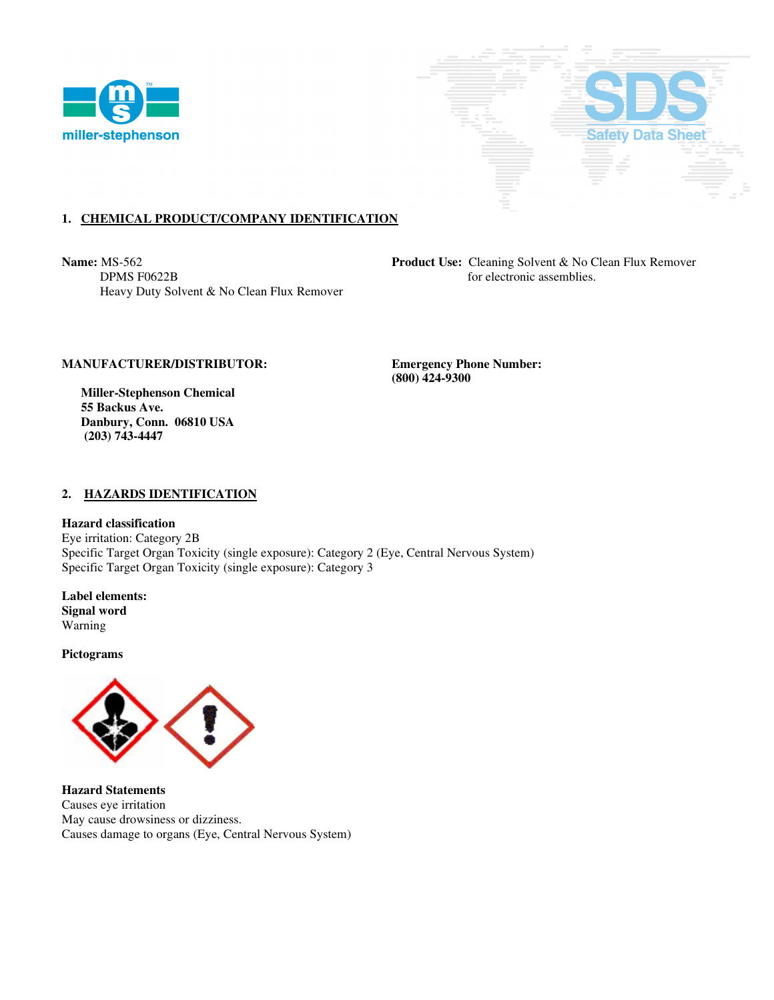



# **1. CHEMICAL PRODUCT/COMPANY IDENTIFICATION**

**Name:** MS-562 **Product Use: Cleaning Solvent & No Clean Flux Remover DPMS F0622B** for electronic assemblies. Heavy Duty Solvent & No Clean Flux Remover

## **MANUFACTURER/DISTRIBUTOR: Emergency Phone Number:**

 **(800) 424-9300** 

 **Miller-Stephenson Chemical 55 Backus Ave. Danbury, Conn. 06810 USA (203) 743-4447** 

### **2. HAZARDS IDENTIFICATION**

**Hazard classification**  Eye irritation: Category 2B Specific Target Organ Toxicity (single exposure): Category 2 (Eye, Central Nervous System) Specific Target Organ Toxicity (single exposure): Category 3

**Label elements: Signal word**  Warning

**Pictograms** 



**Hazard Statements**  Causes eye irritation May cause drowsiness or dizziness. Causes damage to organs (Eye, Central Nervous System)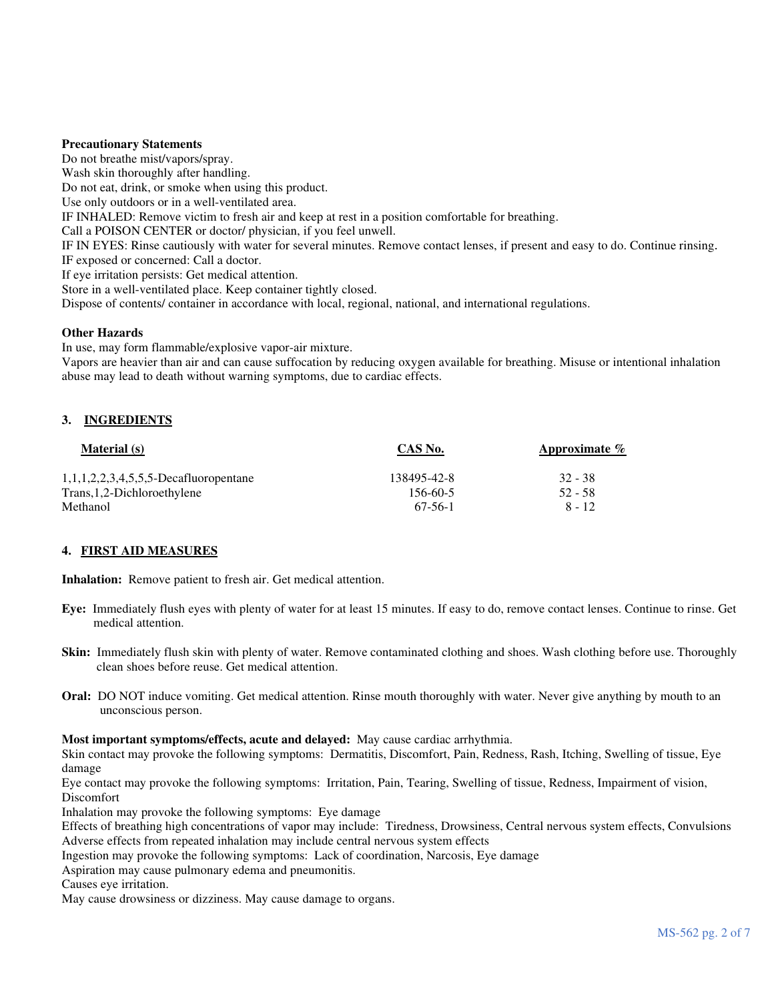### **Precautionary Statements**

Do not breathe mist/vapors/spray. Wash skin thoroughly after handling. Do not eat, drink, or smoke when using this product. Use only outdoors or in a well-ventilated area. IF INHALED: Remove victim to fresh air and keep at rest in a position comfortable for breathing. Call a POISON CENTER or doctor/ physician, if you feel unwell. IF IN EYES: Rinse cautiously with water for several minutes. Remove contact lenses, if present and easy to do. Continue rinsing. IF exposed or concerned: Call a doctor. If eye irritation persists: Get medical attention. Store in a well-ventilated place. Keep container tightly closed. Dispose of contents/ container in accordance with local, regional, national, and international regulations.

## **Other Hazards**

In use, may form flammable/explosive vapor-air mixture.

Vapors are heavier than air and can cause suffocation by reducing oxygen available for breathing. Misuse or intentional inhalation abuse may lead to death without warning symptoms, due to cardiac effects.

# **3. INGREDIENTS**

| <b>Material</b> (s)                      | CAS No.     | Approximate $\%$ |
|------------------------------------------|-------------|------------------|
| $1,1,1,2,2,3,4,5,5,5$ -Decafluoropentane | 138495-42-8 | 32 - 38          |
| Trans, 1, 2-Dichloroethylene             | 156-60-5    | $52 - 58$        |
| Methanol                                 | 67-56-1     | $8 - 12$         |

#### **4. FIRST AID MEASURES**

**Inhalation:** Remove patient to fresh air. Get medical attention.

- **Eye:** Immediately flush eyes with plenty of water for at least 15 minutes. If easy to do, remove contact lenses. Continue to rinse. Get medical attention.
- **Skin:** Immediately flush skin with plenty of water. Remove contaminated clothing and shoes. Wash clothing before use. Thoroughly clean shoes before reuse. Get medical attention.
- **Oral:** DO NOT induce vomiting. Get medical attention. Rinse mouth thoroughly with water. Never give anything by mouth to an unconscious person.

#### **Most important symptoms/effects, acute and delayed:** May cause cardiac arrhythmia.

Skin contact may provoke the following symptoms: Dermatitis, Discomfort, Pain, Redness, Rash, Itching, Swelling of tissue, Eye damage

Eye contact may provoke the following symptoms: Irritation, Pain, Tearing, Swelling of tissue, Redness, Impairment of vision, Discomfort

Inhalation may provoke the following symptoms: Eye damage

Effects of breathing high concentrations of vapor may include: Tiredness, Drowsiness, Central nervous system effects, Convulsions Adverse effects from repeated inhalation may include central nervous system effects

Ingestion may provoke the following symptoms: Lack of coordination, Narcosis, Eye damage

Aspiration may cause pulmonary edema and pneumonitis.

Causes eye irritation.

May cause drowsiness or dizziness. May cause damage to organs.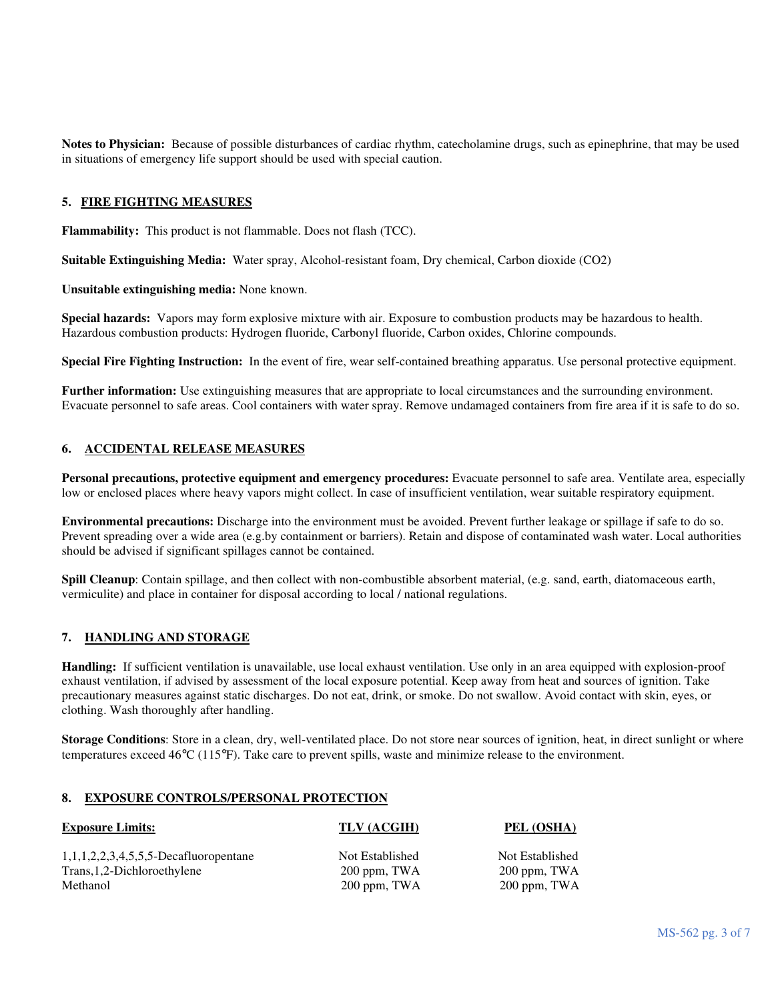**Notes to Physician:** Because of possible disturbances of cardiac rhythm, catecholamine drugs, such as epinephrine, that may be used in situations of emergency life support should be used with special caution.

## **5. FIRE FIGHTING MEASURES**

**Flammability:** This product is not flammable. Does not flash (TCC).

**Suitable Extinguishing Media:** Water spray, Alcohol-resistant foam, Dry chemical, Carbon dioxide (CO2)

**Unsuitable extinguishing media:** None known.

**Special hazards:** Vapors may form explosive mixture with air. Exposure to combustion products may be hazardous to health. Hazardous combustion products: Hydrogen fluoride, Carbonyl fluoride, Carbon oxides, Chlorine compounds.

**Special Fire Fighting Instruction:** In the event of fire, wear self-contained breathing apparatus. Use personal protective equipment.

**Further information:** Use extinguishing measures that are appropriate to local circumstances and the surrounding environment. Evacuate personnel to safe areas. Cool containers with water spray. Remove undamaged containers from fire area if it is safe to do so.

## **6. ACCIDENTAL RELEASE MEASURES**

**Personal precautions, protective equipment and emergency procedures:** Evacuate personnel to safe area. Ventilate area, especially low or enclosed places where heavy vapors might collect. In case of insufficient ventilation, wear suitable respiratory equipment.

**Environmental precautions:** Discharge into the environment must be avoided. Prevent further leakage or spillage if safe to do so. Prevent spreading over a wide area (e.g.by containment or barriers). Retain and dispose of contaminated wash water. Local authorities should be advised if significant spillages cannot be contained.

**Spill Cleanup**: Contain spillage, and then collect with non-combustible absorbent material, (e.g. sand, earth, diatomaceous earth, vermiculite) and place in container for disposal according to local / national regulations.

## **7. HANDLING AND STORAGE**

**Handling:** If sufficient ventilation is unavailable, use local exhaust ventilation. Use only in an area equipped with explosion-proof exhaust ventilation, if advised by assessment of the local exposure potential. Keep away from heat and sources of ignition. Take precautionary measures against static discharges. Do not eat, drink, or smoke. Do not swallow. Avoid contact with skin, eyes, or clothing. Wash thoroughly after handling.

**Storage Conditions**: Store in a clean, dry, well-ventilated place. Do not store near sources of ignition, heat, in direct sunlight or where temperatures exceed 46°C (115°F). Take care to prevent spills, waste and minimize release to the environment.

### **8. EXPOSURE CONTROLS/PERSONAL PROTECTION**

| <b>Exposure Limits:</b>                           | TLV (ACGIH)     | PEL (OSHA)      |
|---------------------------------------------------|-----------------|-----------------|
| $1, 1, 1, 2, 2, 3, 4, 5, 5, 5$ -Decafluoropentane | Not Established | Not Established |
| Trans, 1, 2-Dichloroethylene                      | 200 ppm, TWA    | 200 ppm, TWA    |
| Methanol                                          | $200$ ppm, TWA  | $200$ ppm, TWA  |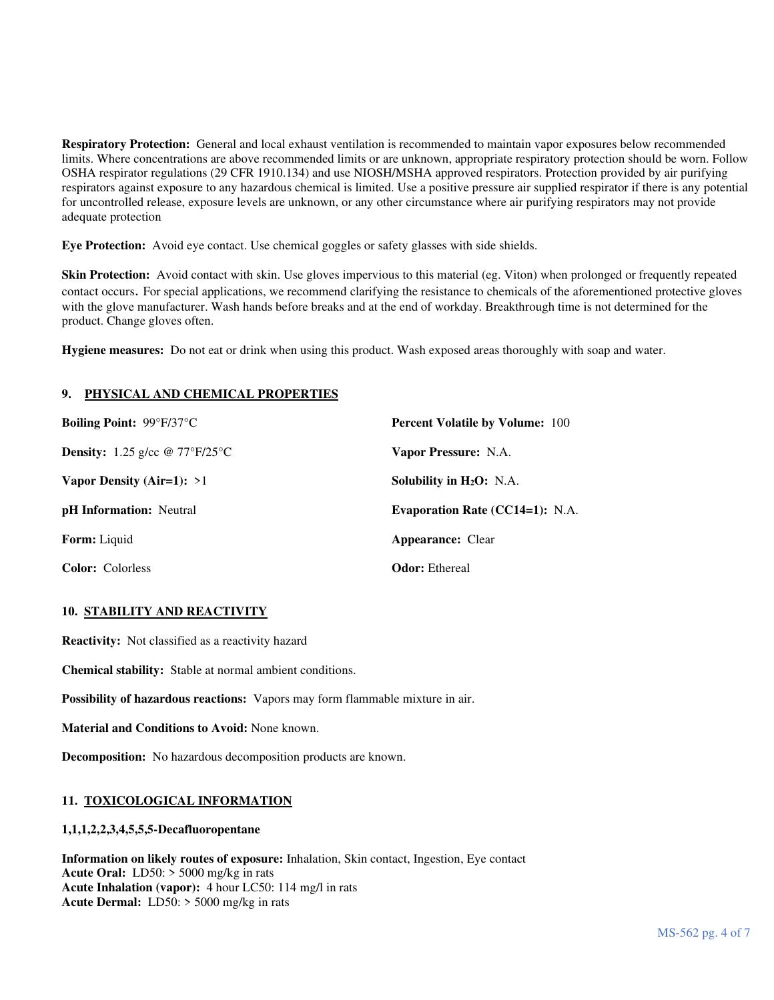**Respiratory Protection:** General and local exhaust ventilation is recommended to maintain vapor exposures below recommended limits. Where concentrations are above recommended limits or are unknown, appropriate respiratory protection should be worn. Follow OSHA respirator regulations (29 CFR 1910.134) and use NIOSH/MSHA approved respirators. Protection provided by air purifying respirators against exposure to any hazardous chemical is limited. Use a positive pressure air supplied respirator if there is any potential for uncontrolled release, exposure levels are unknown, or any other circumstance where air purifying respirators may not provide adequate protection

**Eye Protection:** Avoid eye contact. Use chemical goggles or safety glasses with side shields.

**Skin Protection:** Avoid contact with skin. Use gloves impervious to this material (eg. Viton) when prolonged or frequently repeated contact occurs. For special applications, we recommend clarifying the resistance to chemicals of the aforementioned protective gloves with the glove manufacturer. Wash hands before breaks and at the end of workday. Breakthrough time is not determined for the product. Change gloves often.

**Hygiene measures:** Do not eat or drink when using this product. Wash exposed areas thoroughly with soap and water.

# **9. PHYSICAL AND CHEMICAL PROPERTIES**

| <b>Boiling Point: 99°F/37°C</b>              | <b>Percent Volatile by Volume: 100</b> |
|----------------------------------------------|----------------------------------------|
| <b>Density:</b> 1.25 g/cc $\omega$ 77°F/25°C | Vapor Pressure: N.A.                   |
| Vapor Density (Air=1): $>1$                  | Solubility in $H_2O$ : N.A.            |
| <b>pH</b> Information: Neutral               | Evaporation Rate $(CC14=1)$ : N.A.     |
| <b>Form:</b> Liquid                          | <b>Appearance:</b> Clear               |
| <b>Color:</b> Colorless                      | <b>Odor:</b> Ethereal                  |

# **10. STABILITY AND REACTIVITY**

**Reactivity:** Not classified as a reactivity hazard

**Chemical stability:** Stable at normal ambient conditions.

**Possibility of hazardous reactions:** Vapors may form flammable mixture in air.

**Material and Conditions to Avoid:** None known.

**Decomposition:** No hazardous decomposition products are known.

# **11. TOXICOLOGICAL INFORMATION**

# **1,1,1,2,2,3,4,5,5,5-Decafluoropentane**

**Information on likely routes of exposure:** Inhalation, Skin contact, Ingestion, Eye contact **Acute Oral:** LD50: > 5000 mg/kg in rats **Acute Inhalation (vapor):** 4 hour LC50: 114 mg/l in rats **Acute Dermal:** LD50: > 5000 mg/kg in rats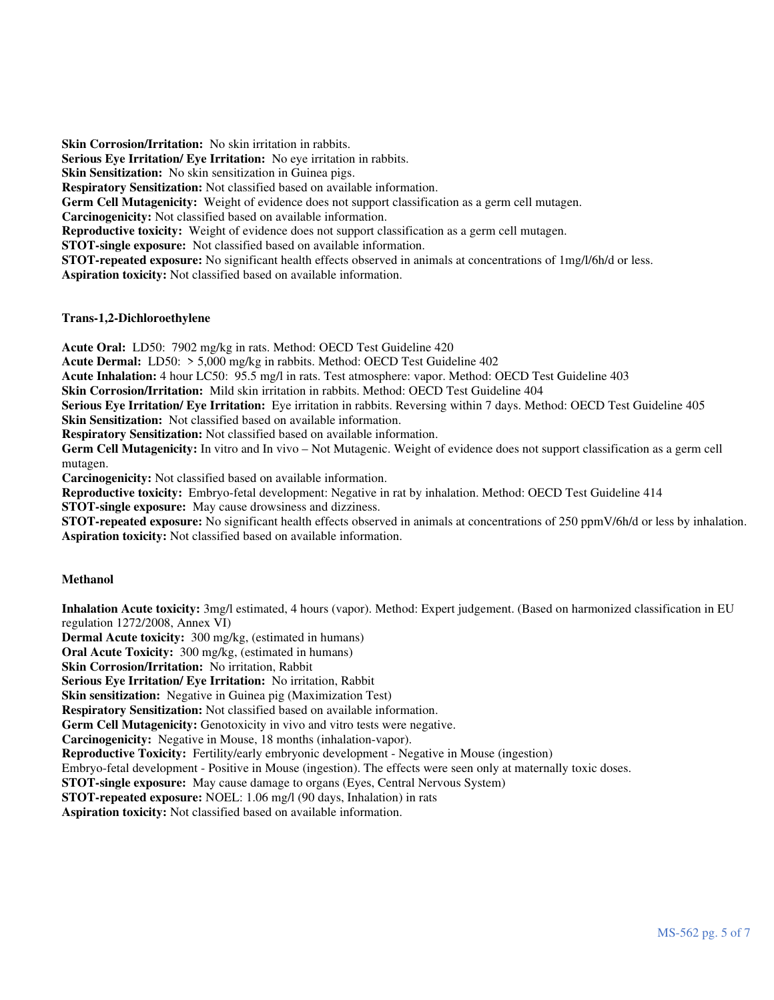**Skin Corrosion/Irritation:** No skin irritation in rabbits. **Serious Eye Irritation/ Eye Irritation:** No eye irritation in rabbits. **Skin Sensitization:** No skin sensitization in Guinea pigs. **Respiratory Sensitization:** Not classified based on available information. **Germ Cell Mutagenicity:** Weight of evidence does not support classification as a germ cell mutagen. **Carcinogenicity:** Not classified based on available information. **Reproductive toxicity:** Weight of evidence does not support classification as a germ cell mutagen. **STOT-single exposure:** Not classified based on available information. **STOT-repeated exposure:** No significant health effects observed in animals at concentrations of 1mg/l/6h/d or less. **Aspiration toxicity:** Not classified based on available information.

## **Trans-1,2-Dichloroethylene**

**Acute Oral:** LD50: 7902 mg/kg in rats. Method: OECD Test Guideline 420

**Acute Dermal:** LD50: > 5,000 mg/kg in rabbits. Method: OECD Test Guideline 402

**Acute Inhalation:** 4 hour LC50: 95.5 mg/l in rats. Test atmosphere: vapor. Method: OECD Test Guideline 403

**Skin Corrosion/Irritation:** Mild skin irritation in rabbits. Method: OECD Test Guideline 404

**Serious Eye Irritation/ Eye Irritation:** Eye irritation in rabbits. Reversing within 7 days. Method: OECD Test Guideline 405 **Skin Sensitization:** Not classified based on available information.

**Respiratory Sensitization:** Not classified based on available information.

**Germ Cell Mutagenicity:** In vitro and In vivo – Not Mutagenic. Weight of evidence does not support classification as a germ cell mutagen.

**Carcinogenicity:** Not classified based on available information.

**Reproductive toxicity:** Embryo-fetal development: Negative in rat by inhalation. Method: OECD Test Guideline 414

**STOT-single exposure:** May cause drowsiness and dizziness.

**STOT-repeated exposure:** No significant health effects observed in animals at concentrations of 250 ppmV/6h/d or less by inhalation. **Aspiration toxicity:** Not classified based on available information.

# **Methanol**

**Inhalation Acute toxicity:** 3mg/l estimated, 4 hours (vapor). Method: Expert judgement. (Based on harmonized classification in EU regulation 1272/2008, Annex VI)

**Dermal Acute toxicity:** 300 mg/kg, (estimated in humans)

**Oral Acute Toxicity:** 300 mg/kg, (estimated in humans)

**Skin Corrosion/Irritation:** No irritation, Rabbit

**Serious Eye Irritation/ Eye Irritation:** No irritation, Rabbit

**Skin sensitization:** Negative in Guinea pig (Maximization Test)

**Respiratory Sensitization:** Not classified based on available information.

Germ Cell Mutagenicity: Genotoxicity in vivo and vitro tests were negative.

**Carcinogenicity:** Negative in Mouse, 18 months (inhalation-vapor).

**Reproductive Toxicity:** Fertility/early embryonic development - Negative in Mouse (ingestion)

Embryo-fetal development - Positive in Mouse (ingestion). The effects were seen only at maternally toxic doses.

**STOT-single exposure:** May cause damage to organs (Eyes, Central Nervous System)

**STOT-repeated exposure:** NOEL: 1.06 mg/l (90 days, Inhalation) in rats

**Aspiration toxicity:** Not classified based on available information.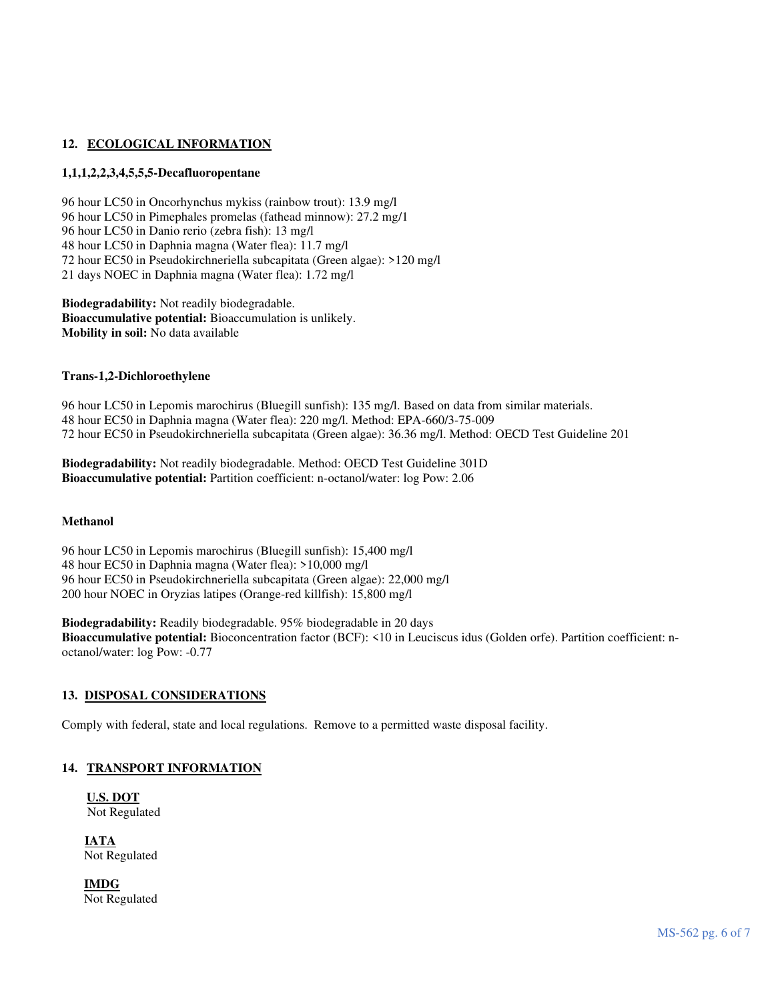# 12. ECOLOGICAL INFORMATION

## **1,1,1,2,2,3,4,5,5,5-Decafluoropentane**

96 hour LC50 in Oncorhynchus mykiss (rainbow trout): 13.9 mg/l 96 hour LC50 in Pimephales promelas (fathead minnow): 27.2 mg/1 96 hour LC50 in Danio rerio (zebra fish): 13 mg/l 48 hour LC50 in Daphnia magna (Water flea): 11.7 mg/l 72 hour EC50 in Pseudokirchneriella subcapitata (Green algae): >120 mg/l 21 days NOEC in Daphnia magna (Water flea): 1.72 mg/l

**Biodegradability:** Not readily biodegradable. **Bioaccumulative potential:** Bioaccumulation is unlikely. **Mobility in soil:** No data available

#### **Trans-1,2-Dichloroethylene**

96 hour LC50 in Lepomis marochirus (Bluegill sunfish): 135 mg/l. Based on data from similar materials. 48 hour EC50 in Daphnia magna (Water flea): 220 mg/l. Method: EPA-660/3-75-009 72 hour EC50 in Pseudokirchneriella subcapitata (Green algae): 36.36 mg/l. Method: OECD Test Guideline 201

**Biodegradability:** Not readily biodegradable. Method: OECD Test Guideline 301D **Bioaccumulative potential:** Partition coefficient: n-octanol/water: log Pow: 2.06

#### **Methanol**

96 hour LC50 in Lepomis marochirus (Bluegill sunfish): 15,400 mg/l 48 hour EC50 in Daphnia magna (Water flea): >10,000 mg/l 96 hour EC50 in Pseudokirchneriella subcapitata (Green algae): 22,000 mg/l 200 hour NOEC in Oryzias latipes (Orange-red killfish): 15,800 mg/l

**Biodegradability:** Readily biodegradable. 95% biodegradable in 20 days **Bioaccumulative potential:** Bioconcentration factor (BCF): <10 in Leuciscus idus (Golden orfe). Partition coefficient: noctanol/water: log Pow: -0.77

# **13. DISPOSAL CONSIDERATIONS**

Comply with federal, state and local regulations. Remove to a permitted waste disposal facility.

#### **14. TRANSPORT INFORMATION**

**U.S. DOT** Not Regulated

**IATA** Not Regulated

 **IMDG** Not Regulated